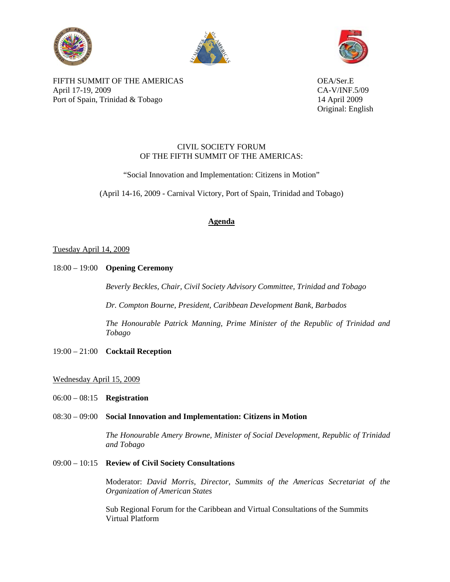





FIFTH SUMMIT OF THE AMERICAS OEA/Ser.E April 17-19, 2009 CA-V/INF.5/09 Port of Spain, Trinidad & Tobago 14 April 2009

Original: English

## CIVIL SOCIETY FORUM OF THE FIFTH SUMMIT OF THE AMERICAS:

"Social Innovation and Implementation: Citizens in Motion"

(April 14-16, 2009 - Carnival Victory, Port of Spain, Trinidad and Tobago)

# **Agenda**

## Tuesday April 14, 2009

18:00 – 19:00 **Opening Ceremony**

*Beverly Beckles, Chair, Civil Society Advisory Committee, Trinidad and Tobago*

*Dr. Compton Bourne, President, Caribbean Development Bank, Barbados* 

*The Honourable Patrick Manning, Prime Minister of the Republic of Trinidad and Tobago*

19:00 – 21:00 **Cocktail Reception**

## Wednesday April 15, 2009

06:00 – 08:15 **Registration**

## 08:30 – 09:00 **Social Innovation and Implementation: Citizens in Motion**

*The Honourable Amery Browne, Minister of Social Development, Republic of Trinidad and Tobago* 

## 09:00 – 10:15 **Review of Civil Society Consultations**

Moderator: *David Morris, Director, Summits of the Americas Secretariat of the Organization of American States*

Sub Regional Forum for the Caribbean and Virtual Consultations of the Summits Virtual Platform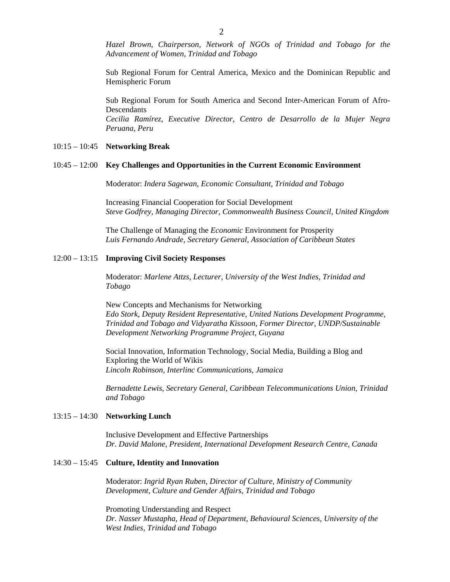*Hazel Brown, Chairperson, Network of NGOs of Trinidad and Tobago for the Advancement of Women, Trinidad and Tobago* 

Sub Regional Forum for Central America, Mexico and the Dominican Republic and Hemispheric Forum

Sub Regional Forum for South America and Second Inter-American Forum of Afro-Descendants *Cecilia Ramírez, Executive Director, Centro de Desarrollo de la Mujer Negra Peruana, Peru*

#### 10:15 – 10:45 **Networking Break**

#### 10:45 – 12:00 **Key Challenges and Opportunities in the Current Economic Environment**

Moderator: *Indera Sagewan, Economic Consultant, Trinidad and Tobago* 

Increasing Financial Cooperation for Social Development *Steve Godfrey, Managing Director, Commonwealth Business Council, United Kingdom*

The Challenge of Managing the *Economic* Environment for Prosperity *Luis Fernando Andrade, Secretary General, Association of Caribbean States* 

#### 12:00 – 13:15 **Improving Civil Society Responses**

Moderator: *Marlene Attzs, Lecturer, University of the West Indies, Trinidad and Tobago* 

New Concepts and Mechanisms for Networking *Edo Stork, Deputy Resident Representative, United Nations Development Programme, Trinidad and Tobago and Vidyaratha Kissoon, Former Director, UNDP/Sustainable Development Networking Programme Project, Guyana*

Social Innovation, Information Technology, Social Media, Building a Blog and Exploring the World of Wikis *Lincoln Robinson, Interlinc Communications, Jamaica* 

*Bernadette Lewis, Secretary General, Caribbean Telecommunications Union, Trinidad and Tobago* 

### 13:15 – 14:30 **Networking Lunch**

Inclusive Development and Effective Partnerships *Dr. David Malone, President, International Development Research Centre, Canada* 

#### 14:30 – 15:45 **Culture, Identity and Innovation**

Moderator: *Ingrid Ryan Ruben, Director of Culture, Ministry of Community Development, Culture and Gender Affairs, Trinidad and Tobago* 

Promoting Understanding and Respect *Dr. Nasser Mustapha, Head of Department, Behavioural Sciences, University of the West Indies, Trinidad and Tobago*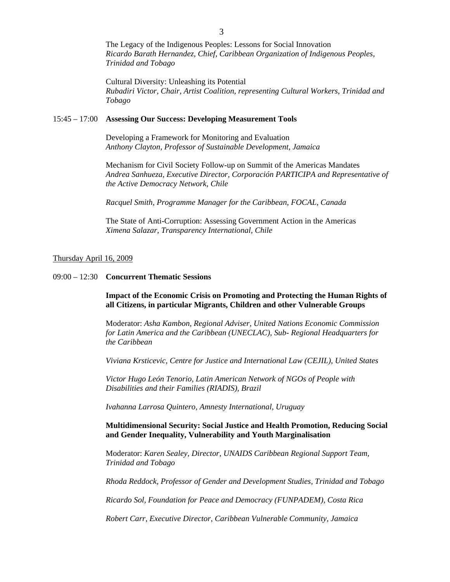The Legacy of the Indigenous Peoples: Lessons for Social Innovation *Ricardo Barath Hernandez, Chief, Caribbean Organization of Indigenous Peoples, Trinidad and Tobago* 

Cultural Diversity: Unleashing its Potential *Rubadiri Victor, Chair, Artist Coalition, representing Cultural Workers, Trinidad and Tobago*

#### 15:45 – 17:00 **Assessing Our Success: Developing Measurement Tools**

Developing a Framework for Monitoring and Evaluation *Anthony Clayton, Professor of Sustainable Development, Jamaica* 

Mechanism for Civil Society Follow-up on Summit of the Americas Mandates *Andrea Sanhueza, Executive Director, Corporación PARTICIPA and Representative of the Active Democracy Network, Chile*

*Racquel Smith, Programme Manager for the Caribbean, FOCAL, Canada* 

The State of Anti-Corruption: Assessing Government Action in the Americas *Ximena Salazar, Transparency International, Chile*

#### Thursday April 16, 2009

### 09:00 – 12:30 **Concurrent Thematic Sessions**

**Impact of the Economic Crisis on Promoting and Protecting the Human Rights of all Citizens, in particular Migrants, Children and other Vulnerable Groups** 

Moderator: *Asha Kambon, Regional Adviser, United Nations Economic Commission for Latin America and the Caribbean (UNECLAC), Sub- Regional Headquarters for the Caribbean* 

*Viviana Krsticevic, Centre for Justice and International Law (CEJIL), United States* 

*Victor Hugo León Tenorio, Latin American Network of NGOs of People with Disabilities and their Families (RIADIS), Brazil*

*Ivahanna Larrosa Quintero, Amnesty International, Uruguay*

**Multidimensional Security: Social Justice and Health Promotion, Reducing Social and Gender Inequality, Vulnerability and Youth Marginalisation**

Moderator: *Karen Sealey, Director, UNAIDS Caribbean Regional Support Team, Trinidad and Tobago* 

*Rhoda Reddock, Professor of Gender and Development Studies, Trinidad and Tobago*

*Ricardo Sol, Foundation for Peace and Democracy (FUNPADEM), Costa Rica* 

*Robert Carr, Executive Director, Caribbean Vulnerable Community, Jamaica*